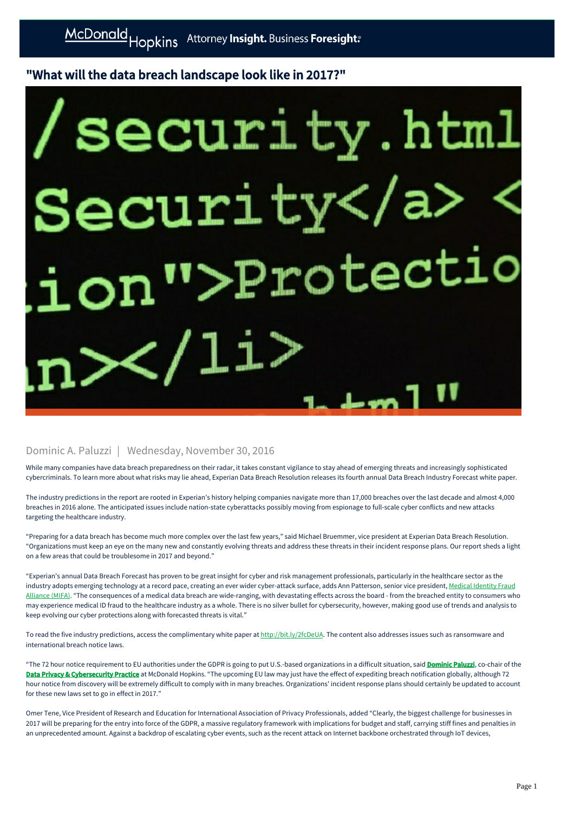## "What will the data breach landscape look like in 2017?"

## ecurity.htm r Protect:

## Dominic A. Paluzzi | Wednesday, November 30, 2016

While many companies have data breach preparedness on their radar, it takes constant vigilance to stay ahead of emerging threats and increasingly sophisticated cybercriminals. To learn more about what risks may lie ahead, Experian Data Breach Resolution releases its fourth annual Data Breach Industry Forecast white paper.

The industry predictions in the report are rooted in Experian's history helping companies navigate more than 17,000 breaches over the last decade and almost 4,000 breaches in 2016 alone. The anticipated issues include nation-state cyberattacks possibly moving from espionage to full-scale cyber conflicts and new attacks targeting the healthcare industry.

"Preparing for a data breach has become much more complex over the last few years," said Michael Bruemmer, vice president at Experian Data Breach Resolution. "Organizations must keep an eye on the many new and constantly evolving threats and address these threats in their incident response plans. Our report sheds a light on a few areas that could be troublesome in 2017 and beyond."

"Experian's annual Data Breach Forecast has proven to be great insight for cyber and risk management professionals, particularly in the healthcare sector as the [industry adopts emerging technology at a record pace, creating an ever wider cyber-attack surface, adds Ann Patterson, senior vice president, Medical Identity Fraud](http://medidfraud.org/) Alliance (MIFA). "The consequences of a medical data breach are wide-ranging, with devastating effects across the board - from the breached entity to consumers who may experience medical ID fraud to the healthcare industry as a whole. There is no silver bullet for cybersecurity, however, making good use of trends and analysis to keep evolving our cyber protections along with forecasted threats is vital."

To read the five industry predictions, access the complimentary white paper at [http://bit.ly/2fcDeUA.](http://bit.ly/2fcDeUA) The content also addresses issues such as ransomware and international breach notice laws.

"The 72 hour notice requirement to EU authorities under the GDPR is going to put U.S.-based organizations in a difficult situation, said **[Dominic Paluzzi](https://mcdonaldhopkins.com/link.aspx?_id=84FA806660B8416BA907CD88D5E49B8B&_z=z)**, co-chair of the [Data Privacy & Cybersecurity Practice](https://mcdonaldhopkins.com/link.aspx?_id=DD3F0B8A363A44B7A6F39835CB908E7F&_z=z) at McDonald Hopkins. "The upcoming EU law may just have the effect of expediting breach notification globally, although 72 hour notice from discovery will be extremely difficult to comply with in many breaches. Organizations' incident response plans should certainly be updated to account for these new laws set to go in effect in 2017."

Omer Tene, Vice President of Research and Education for International Association of Privacy Professionals, added "Clearly, the biggest challenge for businesses in 2017 will be preparing for the entry into force of the GDPR, a massive regulatory framework with implications for budget and staff, carrying stiff fines and penalties in an unprecedented amount. Against a backdrop of escalating cyber events, such as the recent attack on Internet backbone orchestrated through IoT devices,